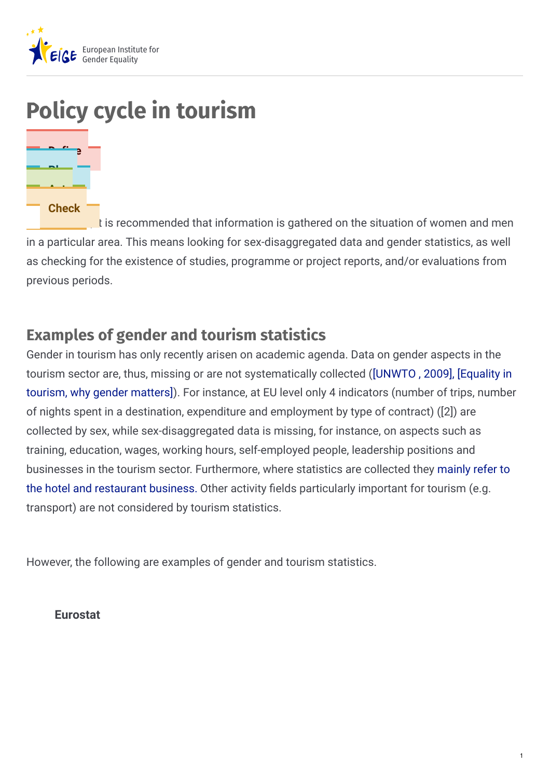

# **Policy cycle in tourism**



It is recommended that information is gathered on the situation of women and men in a particular area. This means looking for sex-disaggregated data and gender statistics, as well as checking for the existence of studies, programme or project reports, and/or evaluations from previous periods.

# **Examples of gender and tourism statistics**

Gender in tourism has only recently arisen on academic agenda. Data on gender aspects in the tourism sector are, thus, missing or are not [systematically](http://equalityintourism.org/why-gender-matters/) collected ([\[UNWTO](http://cf.cdn.unwto.org/sites/all/files/pdf/report-baseline_reserach_task_force_women_empowerment_by_linda_w.j._peeters_2009.pdf) , 2009][,](https://www.unwto.org/archive/global/publication/baseline-research-agenda-unwto-task-force-women-tourism) [Equality in tourism, why gender matters]). For instance, at EU level only 4 indicators (number of trips, number of nights spent in a destination, expenditure and employment by type of contract) ([2]) are collected by sex, while sex-disaggregated data is missing, for instance, on aspects such as training, education, wages, working hours, self-employed people, leadership positions and businesses in the tourism sector. [Furthermore,](http://ec.europa.eu/eurostat/web/tourism/data/database) where statistics are collected they mainly refer to the hotel and restaurant business. Other activity fields particularly important for tourism (e.g. transport) are not considered by tourism statistics.

However, the following are examples of gender and tourism statistics.

**Eurostat**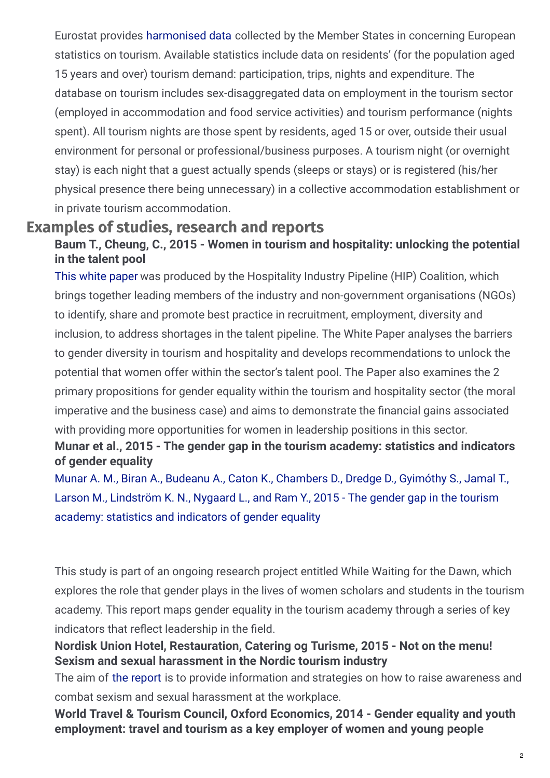Eurostat provides [harmonised](http://ec.europa.eu/eurostat/web/tourism/data/database) data collected by the Member States in concerning European statistics on tourism. Available statistics include data on residents' (for the population aged 15 years and over) tourism demand: participation, trips, nights and expenditure. The database on tourism includes sex-disaggregated data on employment in the tourism sector (employed in accommodation and food service activities) and tourism performance (nights spent). All tourism nights are those spent by residents, aged 15 or over, outside their usual environment for personal or professional/business purposes. A tourism night (or overnight stay) is each night that a guest actually spends (sleeps or stays) or is registered (his/her physical presence there being unnecessary) in a collective accommodation establishment or in private tourism accommodation.

### **Examples of studies, research and reports**

### **Baum T., Cheung, C., 2015 - Women in tourism and hospitality: unlocking the potential in the talent pool**

This white [paper](https://docplayer.net/7833539-Hospitality-industry-white-paper-women-in-tourism-hospitality-unlocking-the-potential-in-the-talent-pool.html) was produced by the Hospitality Industry Pipeline (HIP) Coalition, which brings together leading members of the industry and non-government organisations (NGOs) to identify, share and promote best practice in recruitment, employment, diversity and inclusion, to address shortages in the talent pipeline. The White Paper analyses the barriers to gender diversity in tourism and hospitality and develops recommendations to unlock the potential that women offer within the sector's talent pool. The Paper also examines the 2 primary propositions for gender equality within the tourism and hospitality sector (the moral imperative and the business case) and aims to demonstrate the financial gains associated with providing more opportunities for women in leadership positions in this sector.

### **Munar et al., 2015 - The gender gap in the tourism academy: statistics and indicators of gender equality**

Munar A. M., Biran A., Budeanu A., Caton K., [Chambers](http://eprints.bournemouth.ac.uk/22373/1/FINAL GenderGapReport_WWFD (1).pdfhttp://eprints.bournemouth.ac.uk/22373/1/FINAL GenderGapReport_WWFD (1).pdf) D., Dredge D., Gyimóthy S., Jamal T., Larson M., Lindström K. N., Nygaard L., and Ram Y., 2015 - The gender gap in the tourism academy: statistics and indicators of gender equality

This study is part of an ongoing research project entitled While Waiting for the Dawn, which explores the role that gender plays in the lives of women scholars and students in the tourism academy. This report maps gender equality in the tourism academy through a series of key indicators that reflect leadership in the field.

### **Nordisk Union Hotel, Restauration, Catering og Turisme, 2015 - Not on the menu! Sexism and sexual harassment in the Nordic tourism industry**

The aim of the [report](http://www.nikk.no/wp-content/uploads/Not-on-the-menu-broshure.pdf) is to provide information and strategies on how to raise awareness and combat sexism and sexual harassment at the workplace.

**World Travel & Tourism Council, Oxford Economics, 2014 - Gender equality and youth employment: travel and tourism as a key employer of women and young people**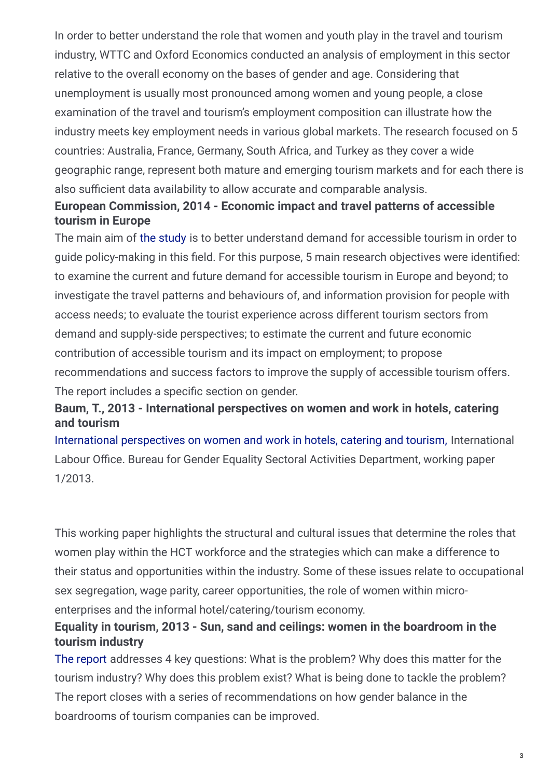In order to better understand the role that women and youth play in the travel and tourism industry, WTTC and Oxford Economics conducted an analysis of employment in this sector relative to the overall economy on the bases of gender and age. Considering that unemployment is usually most pronounced among women and young people, a close examination of the travel and tourism's employment composition can illustrate how the industry meets key employment needs in various global markets. The research focused on 5 countries: Australia, France, Germany, South Africa, and Turkey as they cover a wide geographic range, represent both mature and emerging tourism markets and for each there is also sufficient data availability to allow accurate and comparable analysis.

### **European Commission, 2014 - Economic impact and travel patterns of accessible tourism in Europe**

The main aim of the [study](https://ec.europa.eu/growth/content/economic-impact-and-travel-patterns-accessible-tourism-europe_en) is to better understand demand for accessible tourism in order to guide policy-making in this field. For this purpose, 5 main research objectives were identified: to examine the current and future demand for accessible tourism in Europe and beyond; to investigate the travel patterns and behaviours of, and information provision for people with access needs; to evaluate the tourist experience across different tourism sectors from demand and supply-side perspectives; to estimate the current and future economic contribution of accessible tourism and its impact on employment; to propose recommendations and success factors to improve the supply of accessible tourism offers. The report includes a specific section on gender.

### **Baum, T., 2013 - International perspectives on women and work in hotels, catering and tourism**

International [perspectives](http://www.ilo.org/wcmsp5/groups/public/---dgreports/---gender/documents/publication/wcms_209867.pdf) on women and work in hotels, catering and tourism, International Labour Office. Bureau for Gender Equality Sectoral Activities Department, working paper 1/2013.

This working paper highlights the structural and cultural issues that determine the roles that women play within the HCT workforce and the strategies which can make a difference to their status and opportunities within the industry. Some of these issues relate to occupational sex segregation, wage parity, career opportunities, the role of women within microenterprises and the informal hotel/catering/tourism economy.

### **Equality in tourism, 2013 - Sun, sand and ceilings: women in the boardroom in the tourism industry**

The [report](http://equalityintourism.org/wp-content/uploads/2013/07/Sun_Sand_Ceiling_F.pdf) addresses 4 key questions: What is the problem? Why does this matter for the tourism industry? Why does this problem exist? What is being done to tackle the problem? The report closes with a series of recommendations on how gender balance in the boardrooms of tourism companies can be improved.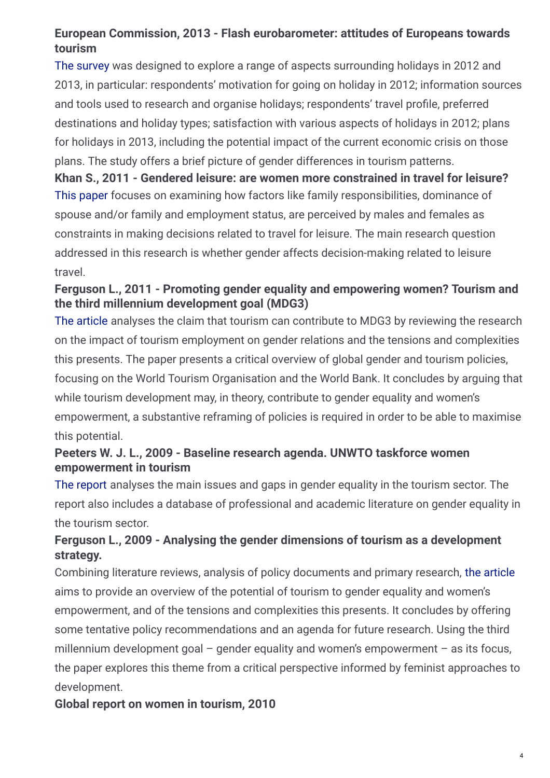### **European Commission, 2013 - Flash eurobarometer: attitudes of Europeans towards tourism**

The [survey](http://ec.europa.eu/public_opinion/flash/fl_370_en.pdf) was designed to explore a range of aspects surrounding holidays in 2012 and 2013, in particular: respondents' motivation for going on holiday in 2012; information sources and tools used to research and organise holidays; respondents' travel profile, preferred destinations and holiday types; satisfaction with various aspects of holidays in 2012; plans for holidays in 2013, including the potential impact of the current economic crisis on those plans. The study offers a brief picture of gender differences in tourism patterns.

This [paper](http://www.chios.aegean.gr/tourism/VOLUME_6_No1_art06.pdf) focuses on examining how factors like family responsibilities, dominance of spouse and/or family and employment status, are perceived by males and females as constraints in making decisions related to travel for leisure. The main research question addressed in this research is whether gender affects decision-making related to leisure travel. **Khan S., 2011 - Gendered leisure: are women more constrained in travel for leisure?**

### **Ferguson L., 2011 - Promoting gender equality and empowering women? Tourism and the third millennium development goal (MDG3)**

The [article](http://www.tandfonline.com/doi/pdf/10.1080/13683500.2011.555522) analyses the claim that tourism can contribute to MDG3 by reviewing the research on the impact of tourism employment on gender relations and the tensions and complexities this presents. The paper presents a critical overview of global gender and tourism policies, focusing on the World Tourism Organisation and the World Bank. It concludes by arguing that while tourism development may, in theory, contribute to gender equality and women's empowerment, a substantive reframing of policies is required in order to be able to maximise this potential.

### **Peeters W. J. L., 2009 - Baseline research agenda. UNWTO taskforce women empowerment in tourism**

The [report](https://www.unwto.org/archive/global/publication/baseline-research-agenda-unwto-task-force-women-tourism) analyses the main issues and gaps in gender equality in the tourism sector. The report also includes a database of professional and academic literature on gender equality in the tourism sector.

### **Ferguson L., 2009 - Analysing the gender dimensions of tourism as a development strategy.**

Combining literature reviews, analysis of policy documents and primary research, the [article](http://eprints.ucm.es/10237/1/PP_03-09.pdf) aims to provide an overview of the potential of tourism to gender equality and women's empowerment, and of the tensions and complexities this presents. It concludes by offering some tentative policy recommendations and an agenda for future research. Using the third millennium development goal  $-$  gender equality and women's empowerment  $-$  as its focus, the paper explores this theme from a critical perspective informed by feminist approaches to development.

### **Global report on women in tourism, 2010**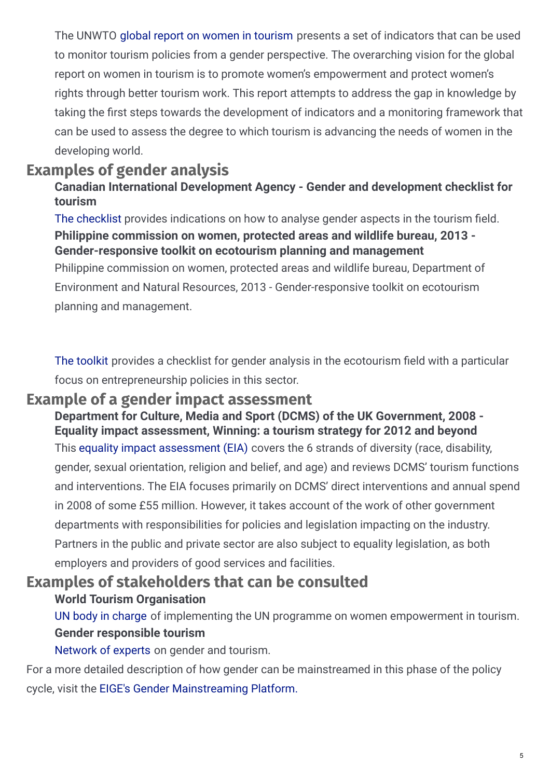The UNWTO global report on women in [tourism](https://www.unwto.org/archive/global/publication/global-report-women-tourism-2010) presents a set of indicators that can be used to monitor tourism policies from a gender perspective. The overarching vision for the global report on women in tourism is to promote women's empowerment and protect women's rights through better tourism work. This report attempts to address the gap in knowledge by taking the first steps towards the development of indicators and a monitoring framework that can be used to assess the degree to which tourism is advancing the needs of women in the developing world.

# **Examples of gender analysis**

### **Canadian International Development Agency - Gender and development checklist for tourism**

The [checklist](http://www.neda.gov.ph/wp-content/uploads/2015/07/HGGT Final.pdf) provides indications on how to analyse gender aspects in the tourism field. Philippine commission on women, protected areas and wildlife bureau, Department of Environment and Natural Resources, 2013 - Gender-responsive toolkit on ecotourism **Philippine commission on women, protected areas and wildlife bureau, 2013 - Gender-responsive toolkit on ecotourism planning and management**

planning and management.

The [toolkit](http://library.pcw.gov.ph/sites/default/files/gender_responsive_toolkit_ecotourism.pdf) provides a checklist for gender analysis in the ecotourism field with a particular focus on entrepreneurship policies in this sector.

# **Example of a gender impact assessment**

This equality impact [assessment](https://www.gov.uk/government/uploads/system/uploads/attachment_data/file/84158/Tourism_EIA_June_2008c.pdf) (EIA) covers the 6 strands of diversity (race, disability, gender, sexual orientation, religion and belief, and age) and reviews DCMS' tourism functions and interventions. The EIA focuses primarily on DCMS' direct interventions and annual spend in 2008 of some £55 million. However, it takes account of the work of other government departments with responsibilities for policies and legislation impacting on the industry. Partners in the public and private sector are also subject to equality legislation, as both employers and providers of good services and facilities. **Department for Culture, Media and Sport (DCMS) of the UK Government, 2008 - Equality impact assessment, Winning: a tourism strategy for 2012 and beyond**

# **Examples of stakeholders that can be consulted**

### **World Tourism Organisation**

UN body in [charge](https://www.unwto.org/) of implementing the UN programme on women empowerment in tourism. **Gender responsible tourism**

[Network](http://www.g-r-t.org/index.php/en/about-us/our-vision) of experts on gender and tourism.

For a more detailed description of how gender can be mainstreamed in this phase of the policy cycle, visit the EIGE's Gender [Mainstreaming](http://eige.europa.eu/gender-mainstreaming/) Platform.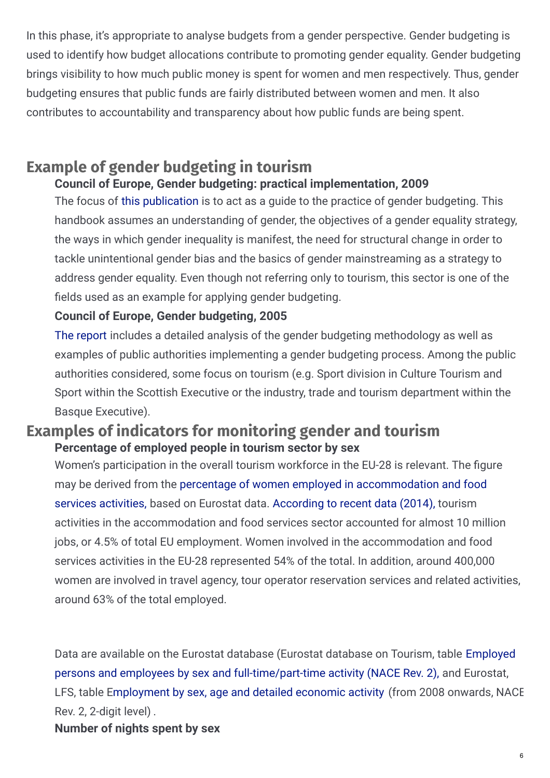In this phase, it's appropriate to analyse budgets from a gender perspective. Gender budgeting is used to identify how budget allocations contribute to promoting gender equality. Gender budgeting brings visibility to how much public money is spent for women and men respectively. Thus, gender budgeting ensures that public funds are fairly distributed between women and men. It also contributes to accountability and transparency about how public funds are being spent.

# **Example of gender budgeting in tourism**

### **Council of Europe, Gender budgeting: practical implementation, 2009**

The focus of this [publication](https://rm.coe.int/1680599885) is to act as a guide to the practice of gender budgeting. This handbook assumes an understanding of gender, the objectives of a gender equality strategy, the ways in which gender inequality is manifest, the need for structural change in order to tackle unintentional gender bias and the basics of gender mainstreaming as a strategy to address gender equality. Even though not referring only to tourism, this sector is one of the fields used as an example for applying gender budgeting.

### **Council of Europe, Gender budgeting, 2005**

The [report](https://rm.coe.int/1680596143) includes a detailed analysis of the gender budgeting methodology as well as examples of public authorities implementing a gender budgeting process. Among the public authorities considered, some focus on tourism (e.g. Sport division in Culture Tourism and Sport within the Scottish Executive or the industry, trade and tourism department within the Basque Executive).

## **Examples of indicators for monitoring gender and tourism Percentage of employed people in tourism sector by sex**

Women's participation in the overall tourism workforce in the EU-28 is relevant. The figure may be derived from the percentage of women employed in [accommodation](http://ec.europa.eu/eurostat/data/database?node_code=tour_lfs6r2) and food services activities, based on Eurostat data. [According](http://ec.europa.eu/eurostat/data/database?node_code=lfsa_egan22d) to recent data (2014), tourism activities in the accommodation and food services sector accounted for almost 10 million jobs, or 4.5% of total EU employment. Women involved in the accommodation and food services activities in the EU-28 represented 54% of the total. In addition, around 400,000 women are involved in travel agency, tour operator reservation services and related activities, around 63% of the total employed.

Data are available on the Eurostat database (Eurostat database on Tourism, table Employed persons and employees by sex and [full-time/part-time](http://ec.europa.eu/eurostat/data/database?node_code=tour_lfs6r2) activity (NACE Rev. 2), and Eurostat, LFS, table [Employment](http://ec.europa.eu/eurostat/data/database?node_code=lfsa_egan22d) by sex, age and detailed economic activity (from 2008 onwards, NACE Rev. 2, 2-digit level) . **Number of nights spent by sex**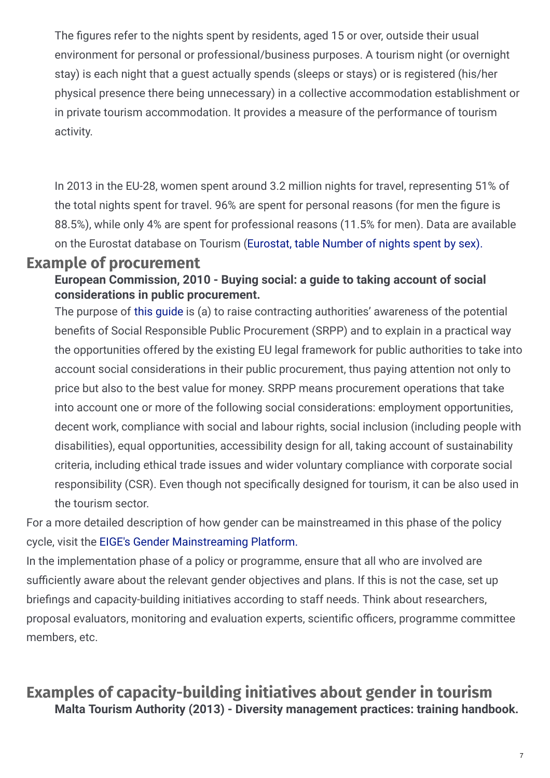The figures refer to the nights spent by residents, aged 15 or over, outside their usual environment for personal or professional/business purposes. A tourism night (or overnight stay) is each night that a guest actually spends (sleeps or stays) or is registered (his/her physical presence there being unnecessary) in a collective accommodation establishment or in private tourism accommodation. It provides a measure of the performance of tourism activity.

In 2013 in the EU-28, women spent around 3.2 million nights for travel, representing 51% of the total nights spent for travel. 96% are spent for personal reasons (for men the figure is 88.5%), while only 4% are spent for professional reasons (11.5% for men). Data are available on the Eurostat database on Tourism [\(Eurostat,](http://ec.europa.eu/eurostat/data/database?node_code=tour_dem_tnsex) table Number of nights spent by sex).

### **Example of procurement**

**European Commission, 2010 - Buying social: a guide to taking account of social considerations in public procurement.**

The purpose of this [guide](https://op.europa.eu/en/publication-detail/-/publication/cb70c481-0e29-4040-9be2-c408cddf081f) is (a) to raise contracting authorities' awareness of the potential benefits of Social Responsible Public Procurement (SRPP) and to explain in a practical way the opportunities offered by the existing EU legal framework for public authorities to take into account social considerations in their public procurement, thus paying attention not only to price but also to the best value for money. SRPP means procurement operations that take into account one or more of the following social considerations: employment opportunities, decent work, compliance with social and labour rights, social inclusion (including people with disabilities), equal opportunities, accessibility design for all, taking account of sustainability criteria, including ethical trade issues and wider voluntary compliance with corporate social responsibility (CSR). Even though not specifically designed for tourism, it can be also used in the tourism sector.

For a more detailed description of how gender can be mainstreamed in this phase of the policy cycle, visit the EIGE's Gender [Mainstreaming](http://eige.europa.eu/gender-mainstreaming/) Platform.

In the implementation phase of a policy or programme, ensure that all who are involved are sufficiently aware about the relevant gender objectives and plans. If this is not the case, set up briefings and capacity-building initiatives according to staff needs. Think about researchers, proposal evaluators, monitoring and evaluation experts, scientific officers, programme committee members, etc.

# **Examples of capacity-building initiatives about gender in tourism Malta Tourism Authority (2013) - Diversity management practices: training handbook.**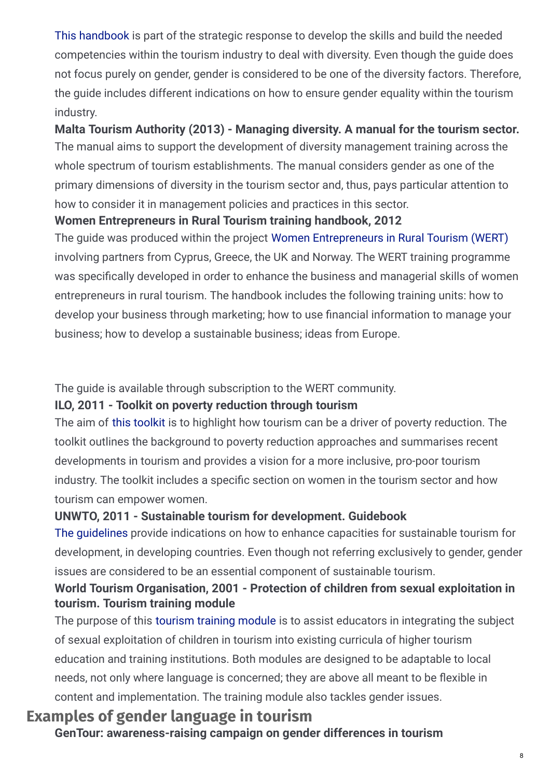This [handbook](https://eige.europa.eu/gender-mainstreaming/policy-areas/tourism/policy-cycle?lang=cs) is part of the strategic response to develop the skills and build the needed competencies within the tourism industry to deal with diversity. Even though the guide does not focus purely on gender, gender is considered to be one of the diversity factors. Therefore, the guide includes different indications on how to ensure gender equality within the tourism industry.

The manual aims to support the development of diversity management training across the whole spectrum of tourism establishments. The manual considers gender as one of the primary dimensions of diversity in the tourism sector and, thus, pays particular attention to how to consider it in management policies and practices in this sector. **Malta Tourism Authority (2013) - Managing diversity. A manual for the tourism sector.**

### **Women Entrepreneurs in Rural Tourism training handbook, 2012**

The guide was produced within the project Women [Entrepreneurs](https://csti-cyprus.org/projects/wert/) in Rural Tourism (WERT) involving partners from Cyprus, Greece, the UK and Norway. The WERT training programme was specifically developed in order to enhance the business and managerial skills of women entrepreneurs in rural tourism. The handbook includes the following training units: how to develop your business through marketing; how to use financial information to manage your business; how to develop a sustainable business; ideas from Europe.

The guide is available through subscription to the WERT community.

### **ILO, 2011 - Toolkit on poverty reduction through tourism**

The aim of this [toolkit](http://www.ilo.org/wcmsp5/groups/public/---ed_dialogue/---sector/documents/instructionalmaterial/wcms_162289.pdf) is to highlight how tourism can be a driver of poverty reduction. The toolkit outlines the background to poverty reduction approaches and summarises recent developments in tourism and provides a vision for a more inclusive, pro-poor tourism industry. The toolkit includes a specific section on women in the tourism sector and how tourism can empower women.

### **UNWTO, 2011 - Sustainable tourism for development. Guidebook**

The [guidelines](http://www.provincia.pisa.it/uploads/2013_11_7_09_48_11.pdf) provide indications on how to enhance capacities for sustainable tourism for development, in developing countries. Even though not referring exclusively to gender, gender issues are considered to be an essential component of sustainable tourism.

### **World Tourism Organisation, 2001 - Protection of children from sexual exploitation in tourism. Tourism training module**

The purpose of this [tourism](https://www.e-unwto.org/doi/book/10.18111/9789284404988) training module is to assist educators in integrating the subject of sexual exploitation of children in tourism into existing curricula of higher tourism education and training institutions. Both modules are designed to be adaptable to local needs, not only where language is concerned; they are above all meant to be flexible in content and implementation. The training module also tackles gender issues.

# **Examples of gender language in tourism**

**GenTour: awareness-raising campaign on gender differences in tourism**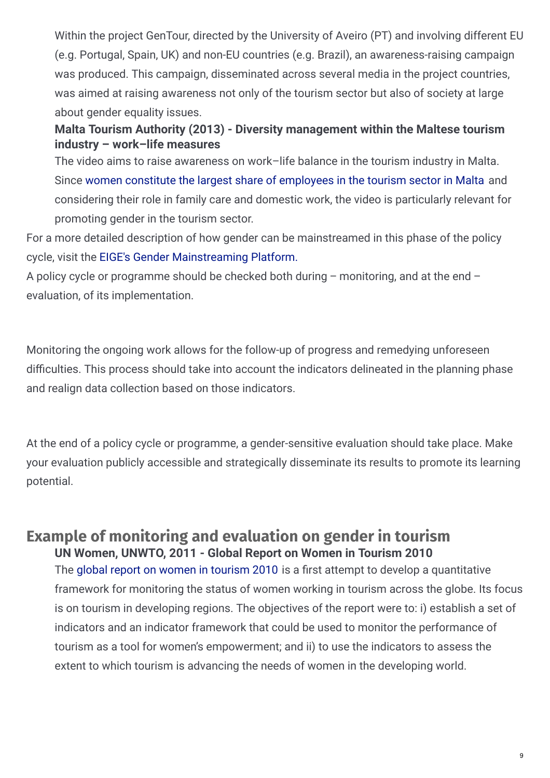Within the project GenTour, directed by the University of Aveiro (PT) and involving different EU (e.g. Portugal, Spain, UK) and non-EU countries (e.g. Brazil), an awareness-raising campaign was produced. This campaign, disseminated across several media in the project countries, was aimed at raising awareness not only of the tourism sector but also of society at large about gender equality issues.

### **Malta Tourism Authority (2013) - Diversity management within the Maltese tourism industry – work–life measures**

The video aims to raise awareness on work–life balance in the tourism industry in Malta. Since women constitute the largest share of [employees](http://www.diversityintourism.com/downloads) in the tourism sector in Malta and considering their role in family care and domestic work, the video is particularly relevant for promoting gender in the tourism sector.

For a more detailed description of how gender can be mainstreamed in this phase of the policy cycle, visit the EIGE's Gender [Mainstreaming](http://eige.europa.eu/gender-mainstreaming/) Platform.

A policy cycle or programme should be checked both during – monitoring, and at the end – evaluation, of its implementation.

Monitoring the ongoing work allows for the follow-up of progress and remedying unforeseen difficulties. This process should take into account the indicators delineated in the planning phase and realign data collection based on those indicators.

At the end of a policy cycle or programme, a gender-sensitive evaluation should take place. Make your evaluation publicly accessible and strategically disseminate its results to promote its learning potential.

## **Example of monitoring and evaluation on gender in tourism UN Women, UNWTO, 2011 - Global Report on Women in Tourism 2010**

The global report on women in [tourism](https://www.unwto.org/archive/global/publication/global-report-women-tourism-2010) 2010 is a first attempt to develop a quantitative framework for monitoring the status of women working in tourism across the globe. Its focus is on tourism in developing regions. The objectives of the report were to: i) establish a set of indicators and an indicator framework that could be used to monitor the performance of tourism as a tool for women's empowerment; and ii) to use the indicators to assess the extent to which tourism is advancing the needs of women in the developing world.